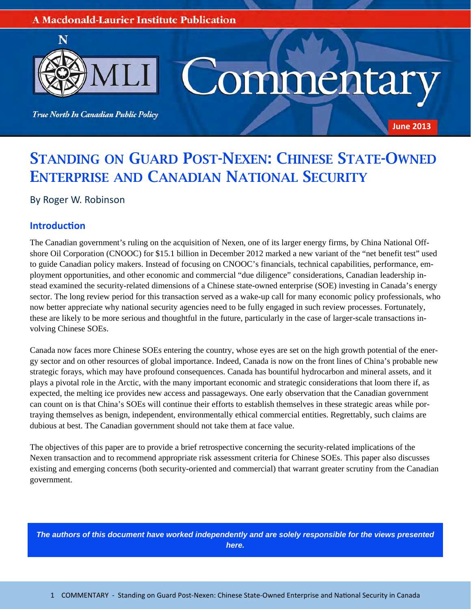#### **A Macdonald-Laurier Institute Publication**



# STANDING ON GUARD POST-NEXEN: CHINESE STATE-OWNED ENTERPRISE AND CANADIAN NATIONAL SECURITY

By Roger W. Robinson

### **IntroducƟon**

The Canadian government's ruling on the acquisition of Nexen, one of its larger energy firms, by China National Offshore Oil Corporation (CNOOC) for \$15.1 billion in December 2012 marked a new variant of the "net benefit test" used to guide Canadian policy makers. Instead of focusing on CNOOC's financials, technical capabilities, performance, employment opportunities, and other economic and commercial "due diligence" considerations, Canadian leadership instead examined the security-related dimensions of a Chinese state-owned enterprise (SOE) investing in Canada's energy sector. The long review period for this transaction served as a wake-up call for many economic policy professionals, who now better appreciate why national security agencies need to be fully engaged in such review processes. Fortunately, these are likely to be more serious and thoughtful in the future, particularly in the case of larger-scale transactions involving Chinese SOEs.

Canada now faces more Chinese SOEs entering the country, whose eyes are set on the high growth potential of the energy sector and on other resources of global importance. Indeed, Canada is now on the front lines of China's probable new strategic forays, which may have profound consequences. Canada has bountiful hydrocarbon and mineral assets, and it plays a pivotal role in the Arctic, with the many important economic and strategic considerations that loom there if, as expected, the melting ice provides new access and passageways. One early observation that the Canadian government can count on is that China's SOEs will continue their efforts to establish themselves in these strategic areas while portraying themselves as benign, independent, environmentally ethical commercial entities. Regrettably, such claims are dubious at best. The Canadian government should not take them at face value.

The objectives of this paper are to provide a brief retrospective concerning the security-related implications of the Nexen transaction and to recommend appropriate risk assessment criteria for Chinese SOEs. This paper also discusses existing and emerging concerns (both security-oriented and commercial) that warrant greater scrutiny from the Canadian government.

*The authors of this document have worked independently and are solely responsible for the views presented here.*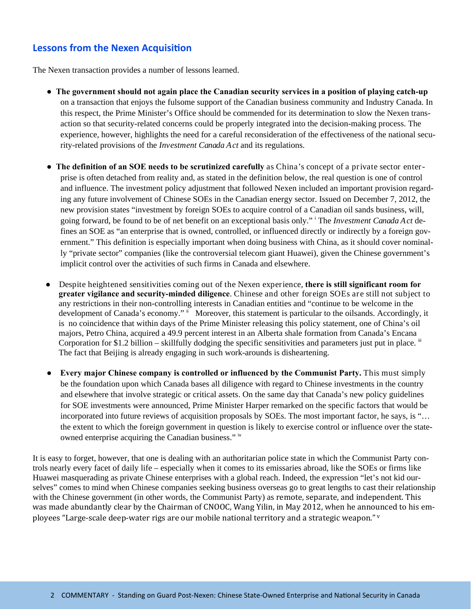## **Lessons from the Nexen Acquisition**

The Nexen transaction provides a number of lessons learned.

- **● The government should not again place the Canadian security services in a position of playing catch-up**  on a transaction that enjoys the fulsome support of the Canadian business community and Industry Canada. In this respect, the Prime Minister's Office should be commended for its determination to slow the Nexen transaction so that security-related concerns could be properly integrated into the decision-making process. The experience, however, highlights the need for a careful reconsideration of the effectiveness of the national security-related provisions of the *Investment Canada Act* and its regulations.
- **● The definition of an SOE needs to be scrutinized carefully** as China's concept of a private sector enterprise is often detached from reality and, as stated in the definition below, the real question is one of control and influence. The investment policy adjustment that followed Nexen included an important provision regarding any future involvement of Chinese SOEs in the Canadian energy sector. Issued on December 7, 2012, the new provision states "investment by foreign SOEs to acquire control of a Canadian oil sands business, will, going forward, be found to be of net benefit on an exceptional basis only." <sup>i</sup> The *Investment Canada Act* defines an SOE as "an enterprise that is owned, controlled, or influenced directly or indirectly by a foreign government." This definition is especially important when doing business with China, as it should cover nominally "private sector" companies (like the controversial telecom giant Huawei), given the Chinese government's implicit control over the activities of such firms in Canada and elsewhere.
- **●** Despite heightened sensitivities coming out of the Nexen experience, **there is still significant room for greater vigilance and security-minded diligence**. Chinese and other foreign SOEs are still not subject to any restrictions in their non-controlling interests in Canadian entities and "continue to be welcome in the development of Canada's economy." Moreover, this statement is particular to the oilsands. Accordingly, it is no coincidence that within days of the Prime Minister releasing this policy statement, one of China's oil majors, Petro China, acquired a 49.9 percent interest in an Alberta shale formation from Canada's Encana Corporation for \$1.2 billion – skillfully dodging the specific sensitivities and parameters just put in place. iii The fact that Beijing is already engaging in such work-arounds is disheartening.
	- **● Every major Chinese company is controlled or influenced by the Communist Party.** This must simply be the foundation upon which Canada bases all diligence with regard to Chinese investments in the country and elsewhere that involve strategic or critical assets. On the same day that Canada's new policy guidelines for SOE investments were announced, Prime Minister Harper remarked on the specific factors that would be incorporated into future reviews of acquisition proposals by SOEs. The most important factor, he says, is "… the extent to which the foreign government in question is likely to exercise control or influence over the stateowned enterprise acquiring the Canadian business." iv

It is easy to forget, however, that one is dealing with an authoritarian police state in which the Communist Party controls nearly every facet of daily life – especially when it comes to its emissaries abroad, like the SOEs or firms like Huawei masquerading as private Chinese enterprises with a global reach. Indeed, the expression "let's not kid ourselves" comes to mind when Chinese companies seeking business overseas go to great lengths to cast their relationship with the Chinese government (in other words, the Communist Party) as remote, separate, and independent. This was made abundantly clear by the Chairman of CNOOC, Wang Yilin, in May 2012, when he announced to his employees "Large-scale deep-water rigs are our mobile national territory and a strategic weapon." $\bar{v}$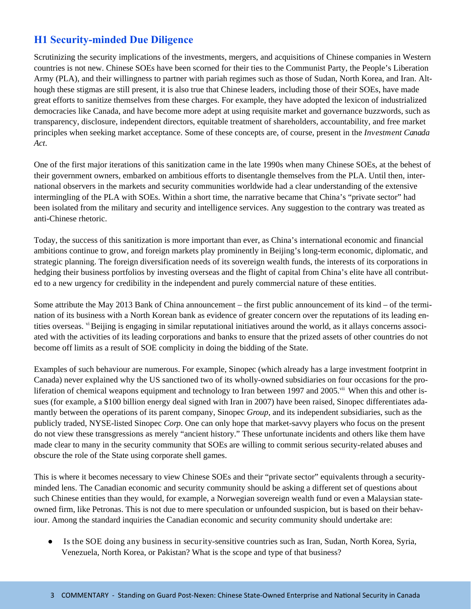# **H1 Security-minded Due Diligence**

Scrutinizing the security implications of the investments, mergers, and acquisitions of Chinese companies in Western countries is not new. Chinese SOEs have been scorned for their ties to the Communist Party, the People's Liberation Army (PLA), and their willingness to partner with pariah regimes such as those of Sudan, North Korea, and Iran. Although these stigmas are still present, it is also true that Chinese leaders, including those of their SOEs, have made great efforts to sanitize themselves from these charges. For example, they have adopted the lexicon of industrialized democracies like Canada, and have become more adept at using requisite market and governance buzzwords, such as transparency, disclosure, independent directors, equitable treatment of shareholders, accountability, and free market principles when seeking market acceptance. Some of these concepts are, of course, present in the *Investment Canada Act*.

One of the first major iterations of this sanitization came in the late 1990s when many Chinese SOEs, at the behest of their government owners, embarked on ambitious efforts to disentangle themselves from the PLA. Until then, international observers in the markets and security communities worldwide had a clear understanding of the extensive intermingling of the PLA with SOEs. Within a short time, the narrative became that China's "private sector" had been isolated from the military and security and intelligence services. Any suggestion to the contrary was treated as anti-Chinese rhetoric.

Today, the success of this sanitization is more important than ever, as China's international economic and financial ambitions continue to grow, and foreign markets play prominently in Beijing's long-term economic, diplomatic, and strategic planning. The foreign diversification needs of its sovereign wealth funds, the interests of its corporations in hedging their business portfolios by investing overseas and the flight of capital from China's elite have all contributed to a new urgency for credibility in the independent and purely commercial nature of these entities.

Some attribute the May 2013 Bank of China announcement – the first public announcement of its kind – of the termination of its business with a North Korean bank as evidence of greater concern over the reputations of its leading entities overseas. vi Beijing is engaging in similar reputational initiatives around the world, as it allays concerns associated with the activities of its leading corporations and banks to ensure that the prized assets of other countries do not become off limits as a result of SOE complicity in doing the bidding of the State.

Examples of such behaviour are numerous. For example, Sinopec (which already has a large investment footprint in Canada) never explained why the US sanctioned two of its wholly-owned subsidiaries on four occasions for the proliferation of chemical weapons equipment and technology to Iran between 1997 and 2005.<sup>vii</sup> When this and other issues (for example, a \$100 billion energy deal signed with Iran in 2007) have been raised, Sinopec differentiates adamantly between the operations of its parent company, Sinopec *Group*, and its independent subsidiaries, such as the publicly traded, NYSE-listed Sinopec *Corp*. One can only hope that market-savvy players who focus on the present do not view these transgressions as merely "ancient history." These unfortunate incidents and others like them have made clear to many in the security community that SOEs are willing to commit serious security-related abuses and obscure the role of the State using corporate shell games.

This is where it becomes necessary to view Chinese SOEs and their "private sector" equivalents through a securityminded lens. The Canadian economic and security community should be asking a different set of questions about such Chinese entities than they would, for example, a Norwegian sovereign wealth fund or even a Malaysian stateowned firm, like Petronas. This is not due to mere speculation or unfounded suspicion, but is based on their behaviour. Among the standard inquiries the Canadian economic and security community should undertake are:

**●** Is the SOE doing any business in security-sensitive countries such as Iran, Sudan, North Korea, Syria, Venezuela, North Korea, or Pakistan? What is the scope and type of that business?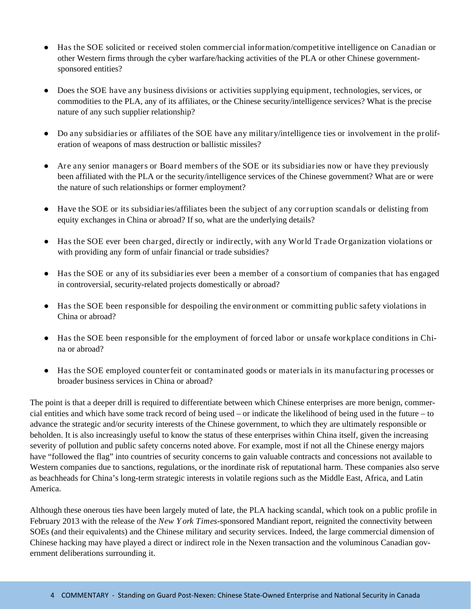- **●** Has the SOE solicited or received stolen commercial information/competitive intelligence on Canadian or other Western firms through the cyber warfare/hacking activities of the PLA or other Chinese governmentsponsored entities?
- **●** Does the SOE have any business divisions or activities supplying equipment, technologies, services, or commodities to the PLA, any of its affiliates, or the Chinese security/intelligence services? What is the precise nature of any such supplier relationship?
- **●** Do any subsidiaries or affiliates of the SOE have any military/intelligence ties or involvement in the proliferation of weapons of mass destruction or ballistic missiles?
- **●** Are any senior managers or Board members of the SOE or its subsidiaries now or have they previously been affiliated with the PLA or the security/intelligence services of the Chinese government? What are or were the nature of such relationships or former employment?
- **●** Have the SOE or its subsidiaries/affiliates been the subject of any corruption scandals or delisting from equity exchanges in China or abroad? If so, what are the underlying details?
- **●** Has the SOE ever been charged, directly or indirectly, with any World Trade Organization violations or with providing any form of unfair financial or trade subsidies?
- **●** Has the SOE or any of its subsidiaries ever been a member of a consortium of companies that has engaged in controversial, security-related projects domestically or abroad?
- **●** Has the SOE been responsible for despoiling the environment or committing public safety violations in China or abroad?
- **●** Has the SOE been responsible for the employment of forced labor or unsafe workplace conditions in China or abroad?
- **●** Has the SOE employed counterfeit or contaminated goods or materials in its manufacturing processes or broader business services in China or abroad?

The point is that a deeper drill is required to differentiate between which Chinese enterprises are more benign, commercial entities and which have some track record of being used – or indicate the likelihood of being used in the future – to advance the strategic and/or security interests of the Chinese government, to which they are ultimately responsible or beholden. It is also increasingly useful to know the status of these enterprises within China itself, given the increasing severity of pollution and public safety concerns noted above. For example, most if not all the Chinese energy majors have "followed the flag" into countries of security concerns to gain valuable contracts and concessions not available to Western companies due to sanctions, regulations, or the inordinate risk of reputational harm. These companies also serve as beachheads for China's long-term strategic interests in volatile regions such as the Middle East, Africa, and Latin America.

Although these onerous ties have been largely muted of late, the PLA hacking scandal, which took on a public profile in February 2013 with the release of the *New Y ork Times*-sponsored Mandiant report, reignited the connectivity between SOEs (and their equivalents) and the Chinese military and security services. Indeed, the large commercial dimension of Chinese hacking may have played a direct or indirect role in the Nexen transaction and the voluminous Canadian government deliberations surrounding it.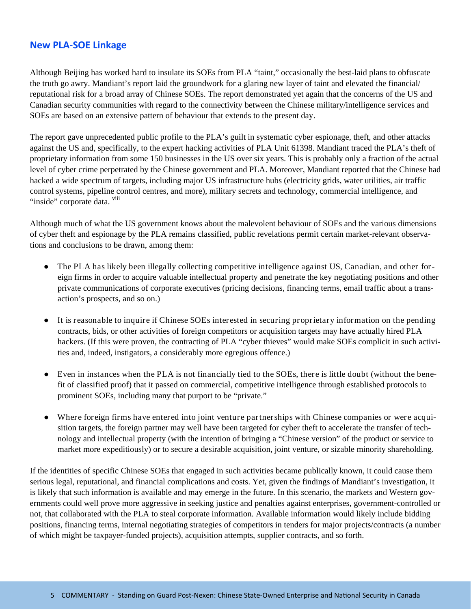### **New PLA‐SOE Linkage**

Although Beijing has worked hard to insulate its SOEs from PLA "taint," occasionally the best-laid plans to obfuscate the truth go awry. Mandiant's report laid the groundwork for a glaring new layer of taint and elevated the financial/ reputational risk for a broad array of Chinese SOEs. The report demonstrated yet again that the concerns of the US and Canadian security communities with regard to the connectivity between the Chinese military/intelligence services and SOEs are based on an extensive pattern of behaviour that extends to the present day.

The report gave unprecedented public profile to the PLA's guilt in systematic cyber espionage, theft, and other attacks against the US and, specifically, to the expert hacking activities of PLA Unit 61398. Mandiant traced the PLA's theft of proprietary information from some 150 businesses in the US over six years. This is probably only a fraction of the actual level of cyber crime perpetrated by the Chinese government and PLA. Moreover, Mandiant reported that the Chinese had hacked a wide spectrum of targets, including major US infrastructure hubs (electricity grids, water utilities, air traffic control systems, pipeline control centres, and more), military secrets and technology, commercial intelligence, and "inside" corporate data. <sup>viii</sup>

Although much of what the US government knows about the malevolent behaviour of SOEs and the various dimensions of cyber theft and espionage by the PLA remains classified, public revelations permit certain market-relevant observations and conclusions to be drawn, among them:

- **●** The PLA has likely been illegally collecting competitive intelligence against US, Canadian, and other foreign firms in order to acquire valuable intellectual property and penetrate the key negotiating positions and other private communications of corporate executives (pricing decisions, financing terms, email traffic about a transaction's prospects, and so on.)
- **●** It is reasonable to inquire if Chinese SOEs interested in securing proprietary information on the pending contracts, bids, or other activities of foreign competitors or acquisition targets may have actually hired PLA hackers. (If this were proven, the contracting of PLA "cyber thieves" would make SOEs complicit in such activities and, indeed, instigators, a considerably more egregious offence.)
- **●** Even in instances when the PLA is not financially tied to the SOEs, there is little doubt (without the benefit of classified proof) that it passed on commercial, competitive intelligence through established protocols to prominent SOEs, including many that purport to be "private."
- **●** Where foreign firms have entered into joint venture partnerships with Chinese companies or were acquisition targets, the foreign partner may well have been targeted for cyber theft to accelerate the transfer of technology and intellectual property (with the intention of bringing a "Chinese version" of the product or service to market more expeditiously) or to secure a desirable acquisition, joint venture, or sizable minority shareholding.

If the identities of specific Chinese SOEs that engaged in such activities became publically known, it could cause them serious legal, reputational, and financial complications and costs. Yet, given the findings of Mandiant's investigation, it is likely that such information is available and may emerge in the future. In this scenario, the markets and Western governments could well prove more aggressive in seeking justice and penalties against enterprises, government-controlled or not, that collaborated with the PLA to steal corporate information. Available information would likely include bidding positions, financing terms, internal negotiating strategies of competitors in tenders for major projects/contracts (a number of which might be taxpayer-funded projects), acquisition attempts, supplier contracts, and so forth.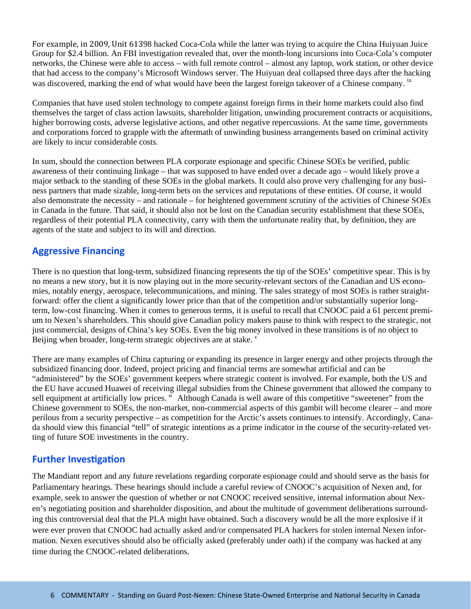For example, in 2009, Unit 61398 hacked Coca-Cola while the latter was trying to acquire the China Huiyuan Juice Group for \$2.4 billion. An FBI investigation revealed that, over the month-long incursions into Coca-Cola's computer networks, the Chinese were able to access – with full remote control – almost any laptop, work station, or other device that had access to the company's Microsoft Windows server. The Huiyuan deal collapsed three days after the hacking was discovered, marking the end of what would have been the largest foreign takeover of a Chinese company. <sup>1x</sup>

Companies that have used stolen technology to compete against foreign firms in their home markets could also find themselves the target of class action lawsuits, shareholder litigation, unwinding procurement contracts or acquisitions, higher borrowing costs, adverse legislative actions, and other negative repercussions. At the same time, governments and corporations forced to grapple with the aftermath of unwinding business arrangements based on criminal activity are likely to incur considerable costs.

In sum, should the connection between PLA corporate espionage and specific Chinese SOEs be verified, public awareness of their continuing linkage – that was supposed to have ended over a decade ago – would likely prove a major setback to the standing of these SOEs in the global markets. It could also prove very challenging for any business partners that made sizable, long-term bets on the services and reputations of these entities. Of course, it would also demonstrate the necessity – and rationale – for heightened government scrutiny of the activities of Chinese SOEs in Canada in the future. That said, it should also not be lost on the Canadian security establishment that these SOEs, regardless of their potential PLA connectivity, carry with them the unfortunate reality that, by definition, they are agents of the state and subject to its will and direction.

### **Aggressive Financing**

There is no question that long-term, subsidized financing represents the tip of the SOEs' competitive spear. This is by no means a new story, but it is now playing out in the more security-relevant sectors of the Canadian and US economies, notably energy, aerospace, telecommunications, and mining. The sales strategy of most SOEs is rather straightforward: offer the client a significantly lower price than that of the competition and/or substantially superior longterm, low-cost financing. When it comes to generous terms, it is useful to recall that CNOOC paid a 61 percent premium to Nexen's shareholders. This should give Canadian policy makers pause to think with respect to the strategic, not just commercial, designs of China's key SOEs. Even the big money involved in these transitions is of no object to Beijing when broader, long-term strategic objectives are at stake.  $x^*$ 

There are many examples of China capturing or expanding its presence in larger energy and other projects through the subsidized financing door. Indeed, project pricing and financial terms are somewhat artificial and can be "administered" by the SOEs' government keepers where strategic content is involved. For example, both the US and the EU have accused Huawei of receiving illegal subsidies from the Chinese government that allowed the company to sell equipment at artificially low prices. <sup>xi</sup> Although Canada is well aware of this competitive "sweetener" from the Chinese government to SOEs, the non-market, non-commercial aspects of this gambit will become clearer – and more perilous from a security perspective – as competition for the Arctic's assets continues to intensify. Accordingly, Canada should view this financial "tell" of strategic intentions as a prime indicator in the course of the security-related vetting of future SOE investments in the country.

#### **Further Investigation**

The Mandiant report and any future revelations regarding corporate espionage could and should serve as the basis for Parliamentary hearings. These hearings should include a careful review of CNOOC's acquisition of Nexen and, for example, seek to answer the question of whether or not CNOOC received sensitive, internal information about Nexen's negotiating position and shareholder disposition, and about the multitude of government deliberations surrounding this controversial deal that the PLA might have obtained. Such a discovery would be all the more explosive if it were ever proven that CNOOC had actually asked and/or compensated PLA hackers for stolen internal Nexen information. Nexen executives should also be officially asked (preferably under oath) if the company was hacked at any time during the CNOOC-related deliberations.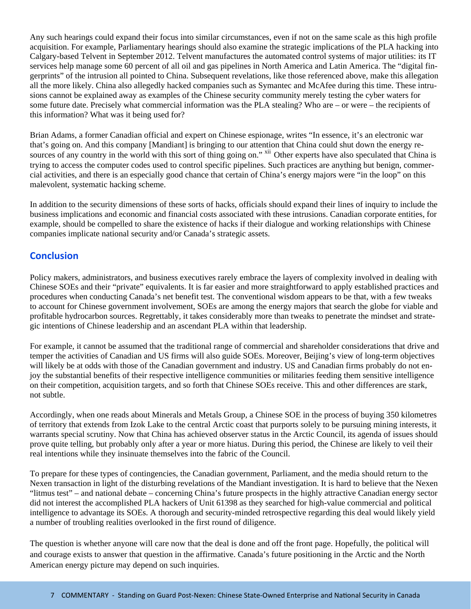Any such hearings could expand their focus into similar circumstances, even if not on the same scale as this high profile acquisition. For example, Parliamentary hearings should also examine the strategic implications of the PLA hacking into Calgary-based Telvent in September 2012. Telvent manufactures the automated control systems of major utilities: its IT services help manage some 60 percent of all oil and gas pipelines in North America and Latin America. The "digital fingerprints" of the intrusion all pointed to China. Subsequent revelations, like those referenced above, make this allegation all the more likely. China also allegedly hacked companies such as Symantec and McAfee during this time. These intrusions cannot be explained away as examples of the Chinese security community merely testing the cyber waters for some future date. Precisely what commercial information was the PLA stealing? Who are – or were – the recipients of this information? What was it being used for?

Brian Adams, a former Canadian official and expert on Chinese espionage, writes "In essence, it's an electronic war that's going on. And this company [Mandiant] is bringing to our attention that China could shut down the energy resources of any country in the world with this sort of thing going on." <sup>xii</sup> Other experts have also speculated that China is trying to access the computer codes used to control specific pipelines. Such practices are anything but benign, commercial activities, and there is an especially good chance that certain of China's energy majors were "in the loop" on this malevolent, systematic hacking scheme.

In addition to the security dimensions of these sorts of hacks, officials should expand their lines of inquiry to include the business implications and economic and financial costs associated with these intrusions. Canadian corporate entities, for example, should be compelled to share the existence of hacks if their dialogue and working relationships with Chinese companies implicate national security and/or Canada's strategic assets.

### **Conclusion**

Policy makers, administrators, and business executives rarely embrace the layers of complexity involved in dealing with Chinese SOEs and their "private" equivalents. It is far easier and more straightforward to apply established practices and procedures when conducting Canada's net benefit test. The conventional wisdom appears to be that, with a few tweaks to account for Chinese government involvement, SOEs are among the energy majors that search the globe for viable and profitable hydrocarbon sources. Regrettably, it takes considerably more than tweaks to penetrate the mindset and strategic intentions of Chinese leadership and an ascendant PLA within that leadership.

For example, it cannot be assumed that the traditional range of commercial and shareholder considerations that drive and temper the activities of Canadian and US firms will also guide SOEs. Moreover, Beijing's view of long-term objectives will likely be at odds with those of the Canadian government and industry. US and Canadian firms probably do not enjoy the substantial benefits of their respective intelligence communities or militaries feeding them sensitive intelligence on their competition, acquisition targets, and so forth that Chinese SOEs receive. This and other differences are stark, not subtle.

Accordingly, when one reads about Minerals and Metals Group, a Chinese SOE in the process of buying 350 kilometres of territory that extends from Izok Lake to the central Arctic coast that purports solely to be pursuing mining interests, it warrants special scrutiny. Now that China has achieved observer status in the Arctic Council, its agenda of issues should prove quite telling, but probably only after a year or more hiatus. During this period, the Chinese are likely to veil their real intentions while they insinuate themselves into the fabric of the Council.

To prepare for these types of contingencies, the Canadian government, Parliament, and the media should return to the Nexen transaction in light of the disturbing revelations of the Mandiant investigation. It is hard to believe that the Nexen "litmus test" – and national debate – concerning China's future prospects in the highly attractive Canadian energy sector did not interest the accomplished PLA hackers of Unit 61398 as they searched for high-value commercial and political intelligence to advantage its SOEs. A thorough and security-minded retrospective regarding this deal would likely yield a number of troubling realities overlooked in the first round of diligence.

The question is whether anyone will care now that the deal is done and off the front page. Hopefully, the political will and courage exists to answer that question in the affirmative. Canada's future positioning in the Arctic and the North American energy picture may depend on such inquiries.